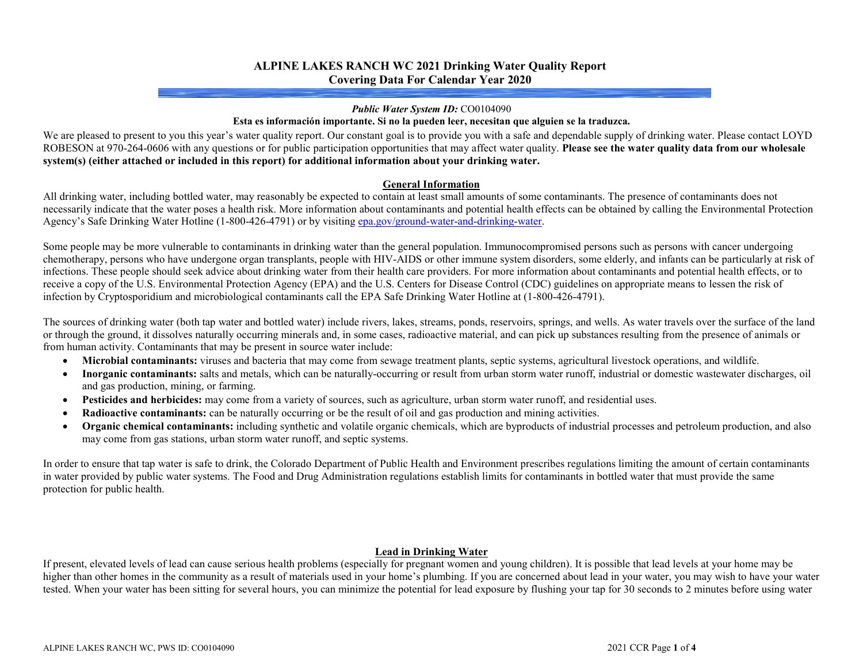## **ALPINE LAKES RANCH WC 2021 Drinking Water Quality Report Covering Data For Calendar Year 2020**

#### *Public Water System ID:* CO0104090

#### **Esta es información importante. Si no la pueden leer, necesitan que alguien se la traduzca.**

We are pleased to present to you this year's water quality report. Our constant goal is to provide you with a safe and dependable supply of drinking water. Please contact LOYD ROBESON at 970-264-0606 with any questions or for public participation opportunities that may affect water quality. **Please see the water quality data from our wholesale system(s) (either attached or included in this report) for additional information about your drinking water.**

### **General Information**

All drinking water, including bottled water, may reasonably be expected to contain at least small amounts of some contaminants. The presence of contaminants does not necessarily indicate that the water poses a health risk. More information about contaminants and potential health effects can be obtained by calling the Environmental Protection Agency's Safe Drinking Water Hotline (1-800-426-4791) or by visitin[g epa.gov/ground-water-and-drinking-water.](https://www.epa.gov/ground-water-and-drinking-water)

Some people may be more vulnerable to contaminants in drinking water than the general population. Immunocompromised persons such as persons with cancer undergoing chemotherapy, persons who have undergone organ transplants, people with HIV-AIDS or other immune system disorders, some elderly, and infants can be particularly at risk of infections. These people should seek advice about drinking water from their health care providers. For more information about contaminants and potential health effects, or to receive a copy of the U.S. Environmental Protection Agency (EPA) and the U.S. Centers for Disease Control (CDC) guidelines on appropriate means to lessen the risk of infection by Cryptosporidium and microbiological contaminants call the EPA Safe Drinking Water Hotline at (1-800-426-4791).

The sources of drinking water (both tap water and bottled water) include rivers, lakes, streams, ponds, reservoirs, springs, and wells. As water travels over the surface of the land or through the ground, it dissolves naturally occurring minerals and, in some cases, radioactive material, and can pick up substances resulting from the presence of animals or from human activity. Contaminants that may be present in source water include:

- **Microbial contaminants:** viruses and bacteria that may come from sewage treatment plants, septic systems, agricultural livestock operations, and wildlife.
- **Inorganic contaminants:** salts and metals, which can be naturally-occurring or result from urban storm water runoff, industrial or domestic wastewater discharges, oil and gas production, mining, or farming.
- **Pesticides and herbicides:** may come from a variety of sources, such as agriculture, urban storm water runoff, and residential uses.
- **Radioactive contaminants:** can be naturally occurring or be the result of oil and gas production and mining activities.
- **Organic chemical contaminants:** including synthetic and volatile organic chemicals, which are byproducts of industrial processes and petroleum production, and also may come from gas stations, urban storm water runoff, and septic systems.

In order to ensure that tap water is safe to drink, the Colorado Department of Public Health and Environment prescribes regulations limiting the amount of certain contaminants in water provided by public water systems. The Food and Drug Administration regulations establish limits for contaminants in bottled water that must provide the same protection for public health.

## **Lead in Drinking Water**

If present, elevated levels of lead can cause serious health problems (especially for pregnant women and young children). It is possible that lead levels at your home may be higher than other homes in the community as a result of materials used in your home's plumbing. If you are concerned about lead in your water, you may wish to have your water tested. When your water has been sitting for several hours, you can minimize the potential for lead exposure by flushing your tap for 30 seconds to 2 minutes before using water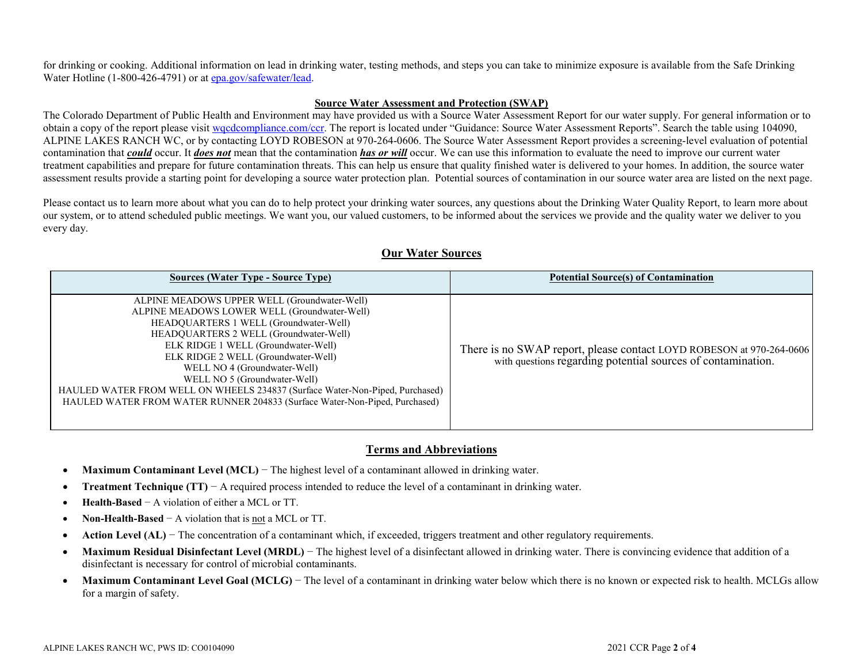for drinking or cooking. Additional information on lead in drinking water, testing methods, and steps you can take to minimize exposure is available from the Safe Drinking Water Hotline (1-800-426-4791) or a[t epa.gov/safewater/lead.](http://www.epa.gov/safewater/lead)

### **Source Water Assessment and Protection (SWAP)**

The Colorado Department of Public Health and Environment may have provided us with a Source Water Assessment Report for our water supply. For general information or to obtain a copy of the report please visit [wqcdcompliance.com/ccr.](https://wqcdcompliance.com/ccr) The report is located under "Guidance: Source Water Assessment Reports". Search the table using 104090, ALPINE LAKES RANCH WC, or by contacting LOYD ROBESON at 970-264-0606. The Source Water Assessment Report provides a screening-level evaluation of potential contamination that *could* occur. It *does not* mean that the contamination *has or will* occur. We can use this information to evaluate the need to improve our current water treatment capabilities and prepare for future contamination threats. This can help us ensure that quality finished water is delivered to your homes. In addition, the source water assessment results provide a starting point for developing a source water protection plan. Potential sources of contamination in our source water area are listed on the next page.

Please contact us to learn more about what you can do to help protect your drinking water sources, any questions about the Drinking Water Quality Report, to learn more about our system, or to attend scheduled public meetings. We want you, our valued customers, to be informed about the services we provide and the quality water we deliver to you every day.

| <b>Sources (Water Type - Source Type)</b>                                                                                                                                                                                                                                                                                                                                                                                                                                                    | <b>Potential Source(s) of Contamination</b>                                                                                          |
|----------------------------------------------------------------------------------------------------------------------------------------------------------------------------------------------------------------------------------------------------------------------------------------------------------------------------------------------------------------------------------------------------------------------------------------------------------------------------------------------|--------------------------------------------------------------------------------------------------------------------------------------|
| ALPINE MEADOWS UPPER WELL (Groundwater-Well)<br>ALPINE MEADOWS LOWER WELL (Groundwater-Well)<br>HEADQUARTERS 1 WELL (Groundwater-Well)<br>HEADQUARTERS 2 WELL (Groundwater-Well)<br>ELK RIDGE 1 WELL (Groundwater-Well)<br>ELK RIDGE 2 WELL (Groundwater-Well)<br>WELL NO 4 (Groundwater-Well)<br>WELL NO 5 (Groundwater-Well)<br>HAULED WATER FROM WELL ON WHEELS 234837 (Surface Water-Non-Piped, Purchased)<br>HAULED WATER FROM WATER RUNNER 204833 (Surface Water-Non-Piped, Purchased) | There is no SWAP report, please contact LOYD ROBESON at 970-264-0606<br>with questions regarding potential sources of contamination. |

## **Our Water Sources**

## **Terms and Abbreviations**

- **Maximum Contaminant Level (MCL)** − The highest level of a contaminant allowed in drinking water.
- **Treatment Technique (TT)** − A required process intended to reduce the level of a contaminant in drinking water.
- **Health-Based** − A violation of either a MCL or TT.
- **Non-Health-Based** − A violation that is not a MCL or TT.
- **Action Level (AL)** The concentration of a contaminant which, if exceeded, triggers treatment and other regulatory requirements.
- **Maximum Residual Disinfectant Level (MRDL)** − The highest level of a disinfectant allowed in drinking water. There is convincing evidence that addition of a disinfectant is necessary for control of microbial contaminants.
- Maximum Contaminant Level Goal (MCLG) The level of a contaminant in drinking water below which there is no known or expected risk to health. MCLGs allow for a margin of safety.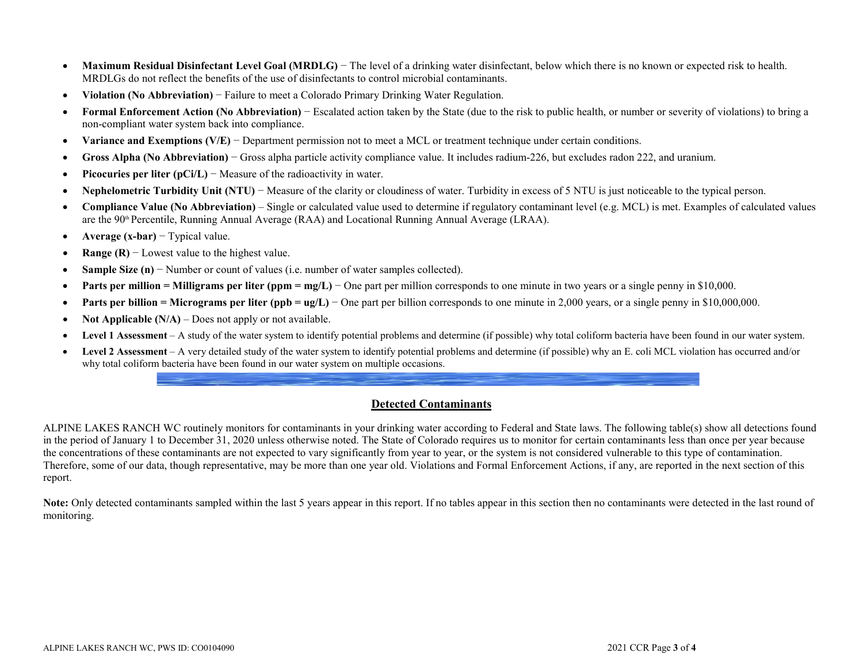- **Maximum Residual Disinfectant Level Goal (MRDLG)** − The level of a drinking water disinfectant, below which there is no known or expected risk to health. MRDLGs do not reflect the benefits of the use of disinfectants to control microbial contaminants.
- **Violation (No Abbreviation)** − Failure to meet a Colorado Primary Drinking Water Regulation.
- **Formal Enforcement Action (No Abbreviation)** − Escalated action taken by the State (due to the risk to public health, or number or severity of violations) to bring a non-compliant water system back into compliance.
- **Variance and Exemptions (V/E)** − Department permission not to meet a MCL or treatment technique under certain conditions.
- **Gross Alpha (No Abbreviation)** − Gross alpha particle activity compliance value. It includes radium-226, but excludes radon 222, and uranium.
- **Picocuries per liter (pCi/L)** − Measure of the radioactivity in water.
- **Nephelometric Turbidity Unit (NTU)** − Measure of the clarity or cloudiness of water. Turbidity in excess of 5 NTU is just noticeable to the typical person.
- **Compliance Value (No Abbreviation)**  Single or calculated value used to determine if regulatory contaminant level (e.g. MCL) is met. Examples of calculated values are the 90<sup>th</sup> Percentile, Running Annual Average (RAA) and Locational Running Annual Average (LRAA).
- **Average (x-bar)** − Typical value.
- **Range (R)** − Lowest value to the highest value.
- **Sample Size (n)** − Number or count of values (i.e. number of water samples collected).
- **Parts per million = Milligrams per liter (ppm = mg/L)** − One part per million corresponds to one minute in two years or a single penny in \$10,000.
- **Parts per billion = Micrograms per liter (ppb = ug/L)** One part per billion corresponds to one minute in 2,000 years, or a single penny in \$10,000,000.
- **Not Applicable (N/A)** Does not apply or not available.
- **Level 1 Assessment**  A study of the water system to identify potential problems and determine (if possible) why total coliform bacteria have been found in our water system.
- **Level 2 Assessment**  A very detailed study of the water system to identify potential problems and determine (if possible) why an E. coli MCL violation has occurred and/or why total coliform bacteria have been found in our water system on multiple occasions.

# **Detected Contaminants**

ALPINE LAKES RANCH WC routinely monitors for contaminants in your drinking water according to Federal and State laws. The following table(s) show all detections found in the period of January 1 to December 31, 2020 unless otherwise noted. The State of Colorado requires us to monitor for certain contaminants less than once per year because the concentrations of these contaminants are not expected to vary significantly from year to year, or the system is not considered vulnerable to this type of contamination. Therefore, some of our data, though representative, may be more than one year old. Violations and Formal Enforcement Actions, if any, are reported in the next section of this report.

Note: Only detected contaminants sampled within the last 5 years appear in this report. If no tables appear in this section then no contaminants were detected in the last round of monitoring.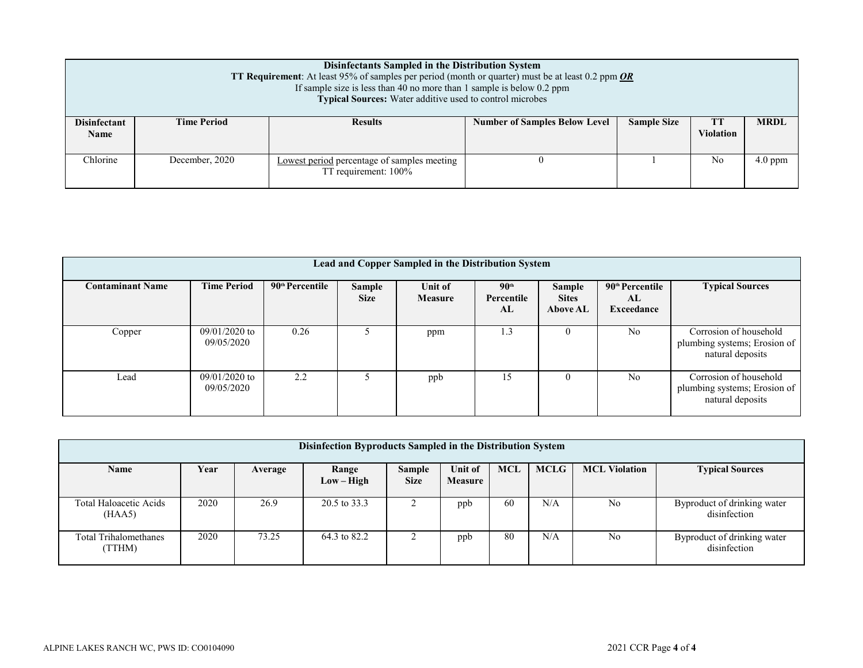| Disinfectants Sampled in the Distribution System<br><b>TT Requirement:</b> At least 95% of samples per period (month or quarter) must be at least 0.2 ppm $OR$<br>If sample size is less than 40 no more than 1 sample is below $0.2$ ppm<br>Typical Sources: Water additive used to control microbes |                    |                |                                      |                    |                  |             |  |  |
|-------------------------------------------------------------------------------------------------------------------------------------------------------------------------------------------------------------------------------------------------------------------------------------------------------|--------------------|----------------|--------------------------------------|--------------------|------------------|-------------|--|--|
| <b>Disinfectant</b><br><b>Name</b>                                                                                                                                                                                                                                                                    | <b>Time Period</b> | <b>Results</b> | <b>Number of Samples Below Level</b> | <b>Sample Size</b> | <b>Violation</b> | <b>MRDL</b> |  |  |
| Chlorine<br>December, 2020<br>N <sub>0</sub><br>Lowest period percentage of samples meeting<br>TT requirement: 100%                                                                                                                                                                                   |                    |                |                                      |                    |                  |             |  |  |

| Lead and Copper Sampled in the Distribution System |                               |                             |                       |                           |                                      |                                           |                                                 |                                                                            |  |
|----------------------------------------------------|-------------------------------|-----------------------------|-----------------------|---------------------------|--------------------------------------|-------------------------------------------|-------------------------------------------------|----------------------------------------------------------------------------|--|
| <b>Contaminant Name</b>                            | <b>Time Period</b>            | 90 <sup>th</sup> Percentile | Sample<br><b>Size</b> | Unit of<br><b>Measure</b> | 90 <sup>th</sup><br>Percentile<br>AL | Sample<br><b>Sites</b><br><b>Above AL</b> | 90 <sup>th</sup> Percentile<br>AL<br>Exceedance | <b>Typical Sources</b>                                                     |  |
| Copper                                             | $09/01/2020$ to<br>09/05/2020 | 0.26                        |                       | ppm                       | 1.3                                  |                                           | No                                              | Corrosion of household<br>plumbing systems; Erosion of<br>natural deposits |  |
| Lead                                               | $09/01/2020$ to<br>09/05/2020 | 2.2                         |                       | ppb                       | 15                                   |                                           | N <sub>o</sub>                                  | Corrosion of household<br>plumbing systems; Erosion of<br>natural deposits |  |

| Disinfection Byproducts Sampled in the Distribution System |      |         |                       |                              |                           |     |             |                      |                                             |
|------------------------------------------------------------|------|---------|-----------------------|------------------------------|---------------------------|-----|-------------|----------------------|---------------------------------------------|
| <b>Name</b>                                                | Year | Average | Range<br>$Low - High$ | <b>Sample</b><br><b>Size</b> | Unit of<br><b>Measure</b> | MCL | <b>MCLG</b> | <b>MCL Violation</b> | <b>Typical Sources</b>                      |
| Total Haloacetic Acids<br>(HAA5)                           | 2020 | 26.9    | 20.5 to 33.3          |                              | ppb                       | -60 | N/A         | No                   | Byproduct of drinking water<br>disinfection |
| <b>Total Trihalomethanes</b><br>(TTHM)                     | 2020 | 73.25   | 64.3 to 82.2          |                              | ppb                       | 80  | N/A         | No                   | Byproduct of drinking water<br>disinfection |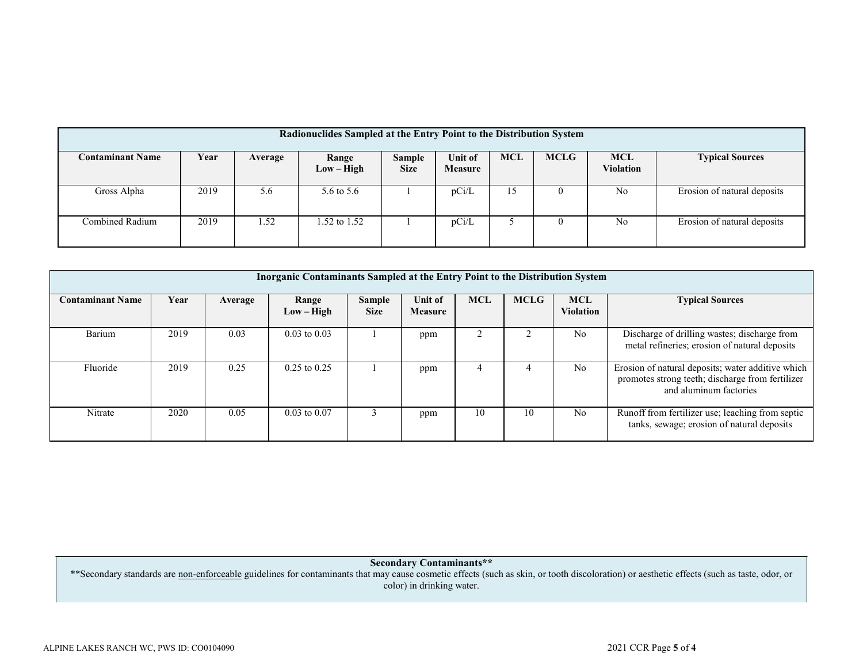| Radionuclides Sampled at the Entry Point to the Distribution System |      |         |               |               |                |            |             |            |                             |
|---------------------------------------------------------------------|------|---------|---------------|---------------|----------------|------------|-------------|------------|-----------------------------|
|                                                                     |      |         |               |               |                |            |             |            |                             |
| <b>Contaminant Name</b>                                             | Year | Average | Range         | <b>Sample</b> | <b>Unit of</b> | <b>MCL</b> | <b>MCLG</b> | <b>MCL</b> | <b>Typical Sources</b>      |
|                                                                     |      |         | $Low - High$  | <b>Size</b>   | <b>Measure</b> |            |             | Violation  |                             |
|                                                                     |      |         |               |               |                |            |             |            |                             |
| Gross Alpha                                                         | 2019 | 5.6     | 5.6 to 5.6    |               | pCi/L          | 15         |             | No         | Erosion of natural deposits |
|                                                                     |      |         |               |               |                |            |             |            |                             |
|                                                                     |      |         |               |               |                |            |             |            |                             |
| Combined Radium                                                     | 2019 | 1.52    | .52 to $1.52$ |               | pCi/L          |            |             | No         | Erosion of natural deposits |
|                                                                     |      |         |               |               |                |            |             |            |                             |
|                                                                     |      |         |               |               |                |            |             |            |                             |

| <b>Inorganic Contaminants Sampled at the Entry Point to the Distribution System</b> |      |         |                       |                       |                           |            |             |                                |                                                                                                                                 |
|-------------------------------------------------------------------------------------|------|---------|-----------------------|-----------------------|---------------------------|------------|-------------|--------------------------------|---------------------------------------------------------------------------------------------------------------------------------|
| <b>Contaminant Name</b>                                                             | Year | Average | Range<br>$Low - High$ | Sample<br><b>Size</b> | Unit of<br><b>Measure</b> | <b>MCL</b> | <b>MCLG</b> | <b>MCL</b><br><b>Violation</b> | <b>Typical Sources</b>                                                                                                          |
| Barium                                                                              | 2019 | 0.03    | $0.03$ to $0.03$      |                       | ppm                       |            |             | N <sub>o</sub>                 | Discharge of drilling wastes; discharge from<br>metal refineries; erosion of natural deposits                                   |
| Fluoride                                                                            | 2019 | 0.25    | $0.25$ to $0.25$      |                       | ppm                       |            |             | N <sub>o</sub>                 | Erosion of natural deposits; water additive which<br>promotes strong teeth; discharge from fertilizer<br>and aluminum factories |
| Nitrate                                                                             | 2020 | 0.05    | $0.03$ to $0.07$      |                       | ppm                       | 10         | 10          | N <sub>o</sub>                 | Runoff from fertilizer use; leaching from septic<br>tanks, sewage; erosion of natural deposits                                  |

**Secondary Contaminants\*\***

\*\*Secondary standards are non-enforceable guidelines for contaminants that may cause cosmetic effects (such as skin, or tooth discoloration) or aesthetic effects (such as taste, odor, or color) in drinking water.